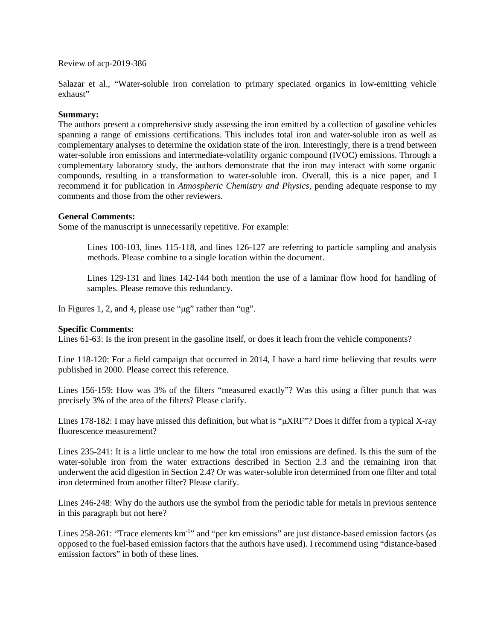Review of acp-2019-386

Salazar et al., "Water-soluble iron correlation to primary speciated organics in low-emitting vehicle exhaust"

## **Summary:**

The authors present a comprehensive study assessing the iron emitted by a collection of gasoline vehicles spanning a range of emissions certifications. This includes total iron and water-soluble iron as well as complementary analyses to determine the oxidation state of the iron. Interestingly, there is a trend between water-soluble iron emissions and intermediate-volatility organic compound (IVOC) emissions. Through a complementary laboratory study, the authors demonstrate that the iron may interact with some organic compounds, resulting in a transformation to water-soluble iron. Overall, this is a nice paper, and I recommend it for publication in *Atmospheric Chemistry and Physics*, pending adequate response to my comments and those from the other reviewers.

## **General Comments:**

Some of the manuscript is unnecessarily repetitive. For example:

Lines 100-103, lines 115-118, and lines 126-127 are referring to particle sampling and analysis methods. Please combine to a single location within the document.

Lines 129-131 and lines 142-144 both mention the use of a laminar flow hood for handling of samples. Please remove this redundancy.

In Figures 1, 2, and 4, please use "μg" rather than "ug".

## **Specific Comments:**

Lines 61-63: Is the iron present in the gasoline itself, or does it leach from the vehicle components?

Line 118-120: For a field campaign that occurred in 2014, I have a hard time believing that results were published in 2000. Please correct this reference.

Lines 156-159: How was 3% of the filters "measured exactly"? Was this using a filter punch that was precisely 3% of the area of the filters? Please clarify.

Lines 178-182: I may have missed this definition, but what is "μXRF"? Does it differ from a typical X-ray fluorescence measurement?

Lines 235-241: It is a little unclear to me how the total iron emissions are defined. Is this the sum of the water-soluble iron from the water extractions described in Section 2.3 and the remaining iron that underwent the acid digestion in Section 2.4? Or was water-soluble iron determined from one filter and total iron determined from another filter? Please clarify.

Lines 246-248: Why do the authors use the symbol from the periodic table for metals in previous sentence in this paragraph but not here?

Lines 258-261: "Trace elements km<sup>-1</sup>" and "per km emissions" are just distance-based emission factors (as opposed to the fuel-based emission factors that the authors have used). I recommend using "distance-based emission factors" in both of these lines.